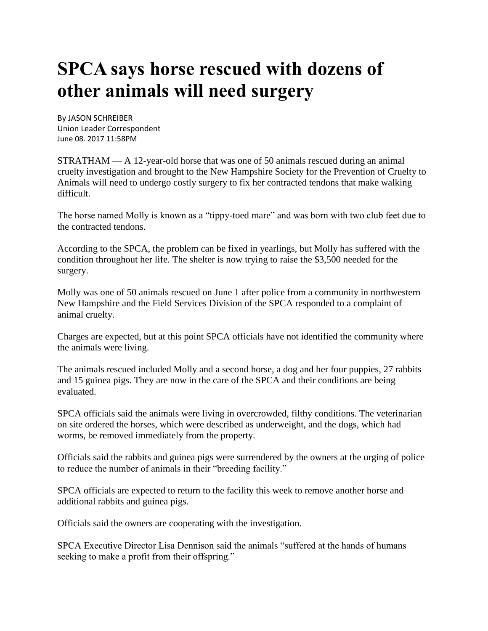## **SPCA says horse rescued with dozens of other animals will need surgery**

By JASON SCHREIBER Union Leader Correspondent [June 08. 2017 11:58PM](http://www.unionleader.com/apps/pbcs.dll/search?Category=SEARCH&q=&StartDate=20170609)

STRATHAM — A 12-year-old horse that was one of 50 animals rescued during an animal cruelty investigation and brought to the New Hampshire Society for the Prevention of Cruelty to Animals will need to undergo costly surgery to fix her contracted tendons that make walking difficult.

The horse named Molly is known as a "tippy-toed mare" and was born with two club feet due to the contracted tendons.

According to the SPCA, the problem can be fixed in yearlings, but Molly has suffered with the condition throughout her life. The shelter is now trying to raise the \$3,500 needed for the surgery.

Molly was one of 50 animals rescued on June 1 after police from a community in northwestern New Hampshire and the Field Services Division of the SPCA responded to a complaint of animal cruelty.

Charges are expected, but at this point SPCA officials have not identified the community where the animals were living.

The animals rescued included Molly and a second horse, a dog and her four puppies, 27 rabbits and 15 guinea pigs. They are now in the care of the SPCA and their conditions are being evaluated.

SPCA officials said the animals were living in overcrowded, filthy conditions. The veterinarian on site ordered the horses, which were described as underweight, and the dogs, which had worms, be removed immediately from the property.

Officials said the rabbits and guinea pigs were surrendered by the owners at the urging of police to reduce the number of animals in their "breeding facility."

SPCA officials are expected to return to the facility this week to remove another horse and additional rabbits and guinea pigs.

Officials said the owners are cooperating with the investigation.

SPCA Executive Director Lisa Dennison said the animals "suffered at the hands of humans seeking to make a profit from their offspring."